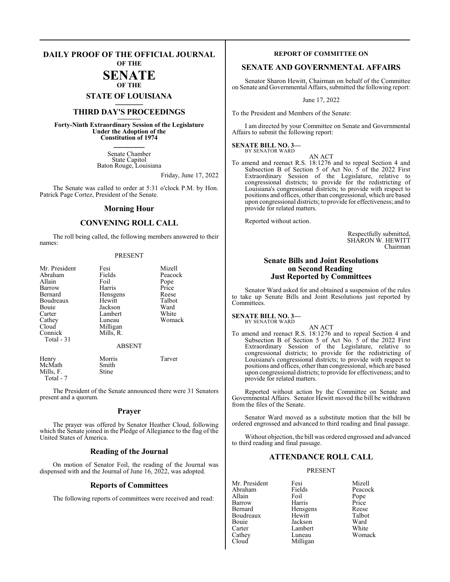### **DAILY PROOF OF THE OFFICIAL JOURNAL OF THE**

## **SENATE OF THE**

## **STATE OF LOUISIANA \_\_\_\_\_\_\_**

## **THIRD DAY'S PROCEEDINGS \_\_\_\_\_\_\_**

**Forty-Ninth Extraordinary Session of the Legislature Under the Adoption of the Constitution of 1974 \_\_\_\_\_\_\_**

> Senate Chamber State Capitol Baton Rouge, Louisiana

> > Friday, June 17, 2022

The Senate was called to order at 5:31 o'clock P.M. by Hon. Patrick Page Cortez, President of the Senate.

## **Morning Hour**

## **CONVENING ROLL CALL**

The roll being called, the following members answered to their names:

### PRESENT

| Mr. President<br>Abraham<br>Allain<br>Barrow<br>Bernard<br>Boudreaux<br>Bouie<br>Carter<br>Cathey<br>Cloud<br>Connick | Fesi<br>Fields<br>Foil<br>Harris<br>Hensgens<br>Hewitt<br>Jackson<br>Lambert<br>Luneau<br>Milligan<br>Mills, R. | Mizell<br>Peacock<br>Pope<br>Price<br>Reese<br>Talbot<br>Ward<br>White<br>Womack |
|-----------------------------------------------------------------------------------------------------------------------|-----------------------------------------------------------------------------------------------------------------|----------------------------------------------------------------------------------|
| Total - 31                                                                                                            | <b>ABSENT</b>                                                                                                   |                                                                                  |
| Henry<br>McMath<br>Mills, F.<br>Total - 7                                                                             | Morris<br>Smith<br>Stine                                                                                        | Tarver                                                                           |

The President of the Senate announced there were 31 Senators present and a quorum.

## **Prayer**

The prayer was offered by Senator Heather Cloud, following which the Senate joined in the Pledge of Allegiance to the flag of the United States of America.

## **Reading of the Journal**

On motion of Senator Foil, the reading of the Journal was dispensed with and the Journal of June 16, 2022, was adopted.

## **Reports of Committees**

The following reports of committees were received and read:

## **REPORT OF COMMITTEE ON**

## **SENATE AND GOVERNMENTAL AFFAIRS**

Senator Sharon Hewitt, Chairman on behalf of the Committee on Senate and Governmental Affairs, submitted the following report:

June 17, 2022

To the President and Members of the Senate:

I am directed by your Committee on Senate and Governmental Affairs to submit the following report:

### **SENATE BILL NO. 3—** BY SENATOR WARD

AN ACT

To amend and reenact R.S. 18:1276 and to repeal Section 4 and Subsection B of Section 5 of Act No. 5 of the 2022 First Extraordinary Session of the Legislature, relative to congressional districts; to provide for the redistricting of Louisiana's congressional districts; to provide with respect to positions and offices, other than congressional, which are based upon congressional districts; to provide for effectiveness; and to provide for related matters.

Reported without action.

Respectfully submitted, SHARON W. HEWITT Chairman

## **Senate Bills and Joint Resolutions on Second Reading Just Reported by Committees**

Senator Ward asked for and obtained a suspension of the rules to take up Senate Bills and Joint Resolutions just reported by Committees.

## **SENATE BILL NO. 3—**

BY SENATOR WARD

AN ACT To amend and reenact R.S. 18:1276 and to repeal Section 4 and Subsection B of Section 5 of Act No. 5 of the 2022 First Extraordinary Session of the Legislature, relative to congressional districts; to provide for the redistricting of Louisiana's congressional districts; to provide with respect to positions and offices, other than congressional, which are based upon congressional districts; to provide for effectiveness; and to provide for related matters.

Reported without action by the Committee on Senate and Governmental Affairs. Senator Hewitt moved the bill be withdrawn from the files of the Senate.

Senator Ward moved as a substitute motion that the bill be ordered engrossed and advanced to third reading and final passage.

Without objection, the bill was ordered engrossed and advanced to third reading and final passage.

## **ATTENDANCE ROLL CALL**

### PRESENT

Milligan

Mr. President Fesi Nizell<br>Abraham Fields Peacoc Abraham Fields Peacock<br>Allain Foil Pope Allain Foil Pope Barrow<br>Bernard Boudreaux Hewitt Talbot<br>Bouie Jackson Ward Bouie Jackson Ward Carter Lambert<br>Cathey Luneau Cathey Luneau Womack<br>Cloud Milligan

Hensgens Reese<br>Hewitt Talbot